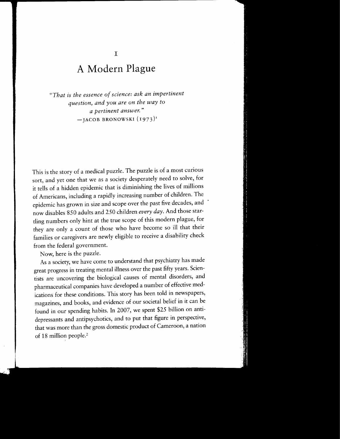## A Modern Plague

"That is the essence of science: ask an impertinent question, and you are on the way to a pertinent answer."  $-$ JACOB BRONOWSKI  $(1973)^T$ 

This is the story of a medical puzzle. The puzzle is of a most curious sort, and yet one that we as a society desperately need to solve, for it tells of a hidden epidemic that is diminishing the lives of millions of Americans, including a rapidly increasing number of children. The epidemic has grown in size and scope over the past five decades, and now disables 850 adults and 250 children every day. And those startling numbers only hint at the true scope of this modern plague, for they are only a count of those who have become so ill that their families or caregivers are newly eligible to receive a disability check from the federal government.

Now, here is the puzzle.

As a society, we have come to understand that psychiatry has made great progress in treating mental illness over the past fifty years. Scientists are uncovering the biological causes of mental disorders, and pharmaceutical companies have developed a number of effective medications for these conditions. This story has been told in newspapers, magazines, and books, and evidence of our societal belief in it can be found in our spending habits. In 2007, we spent \$25 billion on antidepressants and antipsychotics, and to put that figure in perspective, that was more than the gross domestic product of Cameroon, a nation of 18 million people.<sup>2</sup>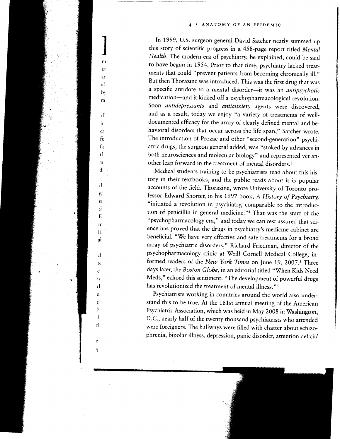In 1999, U.S. surgeon general David Satcher neatly summed up this story of scientific progress in a 458-page report titled Mental Health. The modern era of psychiatry, he explained, could be said to have begun in 1954. Prior to that time, psychiatry lacked treatments that could "prevent patients from becoming chronically ill." But then Thorazine was introduced. This was the first drug that was a specific antidote to a mental disorder-it was an antipsychotic medication-and it kicked off a psychopharmacological revolution. Soon antidepressants and antianxiety agents were discovered, and as a result, today we enjoy "a variety of treatments of welldocumented efficacy for the array of clearly defined mental and behavioral disorders that occur across the life span," Satcher wrote. The introduction of Prozac and other "second-generation" psychiatric drugs, the surgeon general added, was "stoked by advances in both neurosciences and molecular biology" and represented yet another leap forward in the treatment of mental disorders.<sup>3</sup>

Medical students training to be psychiatrists read about this history in their textbooks, and the public reads about it in popular accounts of the field. Thorazine, wrote University of Toronto professor Edward Shorter, in his 1997 book, A History of Psychiatry, "initiated a revolution in psychiatry, comparable to the introduction of penicillin in general medicine."<sup>4</sup> That was the start of the "psychopharmacology era," and today we can rest assured that science has proved that the drugs in psychiatry's medicine cabinet are beneficial. "We have very effective and safe treatments for a broad array of psychiatric disorders," Richard Friedman, director of the psychopharmacology clinic at Weill Cornell Medical College, informed readers of the New York Times on June 19, 2007.5 Three days later, the Boston Globe, in an editorial titled "When Kids Need Meds," echoed this sentiment: "The development of powerful drugs has revolutionized the treatment of mental illness."<sup>6</sup>

Psychiatrists working in countries around the world also understand this to be true. At the 161st annual meeting of the American Psychiatric Association, which was held in May 2008 in Washington, D.C., nearly half of the twenty thousand psychiatrists who attended were foreigners. The hallways were filled with chatter about schizophrenia, bipolar illness, depression, panic disorder, attention deficit/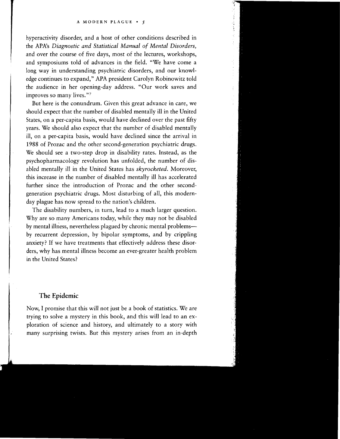hyperactivity disorder, and a host of other conditions described in the APA's Diagnostic and Statistical Manual of Mental Disorders, and over the course of five days, most of the lectures, workshops, and symposiums told of advances in the field. "We have come a long way in understanding psychiatric disorders, and our knowledge continues to expand," APA president Carolyn Robinowitz told the audience in her opening-day address. "Our work saves and improves so many lives."7

But here is the conundrum. Given this great advance in care, we should expect that the number of disabled mentally ill in the United States, on a per-capita basis, would have declined over the past fifty years. We should also expect that the number of disabled mentally ill, on a per-capita basis, would have declined since the arrival in 1988 of Prozac and the other second-generation psychiatric drugs. We should see a two-step drop in disability rates. Instead, as the psychopharmacology revolution has unfolded, the number of disabled mentally ill in the United States has skyrocketed. Moreover, this increase in the number of disabled mentally ill has accelerated further since the introduction of Prozac and the other secondgeneration psychiatric drugs. Most disturbing of all, this modernday plague has now spread to the nation's children.

The disability numbers, in turn, lead to a much larger question. Why are so many Americans today, while they may not be disabled by mental illness, nevertheless plagued by chronic mental problemsby recurrent depression, by bipolar symptoms, and by crippling anxiety? If we have treatments that effectively address these disorders, why has mental illness become an ever-greater health problem in the United States?

## The Epidemic

Now, I promise that this will not just be a book of statistics. We are trying to solve a mystery in this book, and this will lead to an exploration of science and history, and ultimately to a story with many surprising twists. But this mystery arises from an in-depth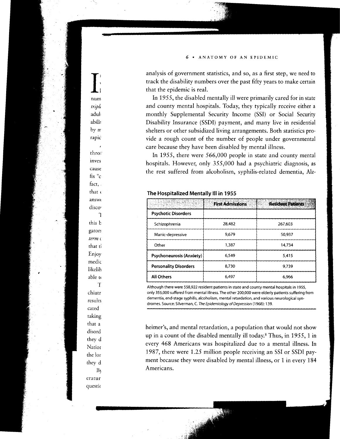analysis of government statistics, and so, as a first step, we need to track the disability numbers over the past fifty years to make certain that the epidemic is real.

In 1955, the disabled mentally ill were primarily cared for in state and county mental hospitals. Today, they typically receive either a monthly Supplemental Security Income (SSI) or Social Security Disability Insurance (SSDI) payment, and many live in residential shelters or other subsidized living arrangements. Both statistics provide a rough count of the number of people under governmental care because they have been disabled by mental illness.

In 1955, there were 566,000 people in state and county mental hospitals. However, only 355,000 had a psychiatric diagnosis, as the rest suffered from alcoholism, syphilis-related dementia, Alz-

| Herry Street                    | <b>First Admissions</b> | <b>Resident Patients</b> |
|---------------------------------|-------------------------|--------------------------|
| <b>Psychotic Disorders</b>      |                         |                          |
| Schizophrenia                   | 28.482                  | 267,603                  |
| Manic-depressive                | 9,679                   | 50,937                   |
| Other                           | 1,387                   | 14.734                   |
| <b>Psychoneurosis (Anxiety)</b> | 6,549                   | 5,415                    |
| <b>Personality Disorders</b>    | 8,730                   | 9,739                    |
| <b>All Others</b>               | 6,497                   | 6,966                    |

## The Hospitalized Mentally III in 1955

Although there were 558,922 resident patients in state and county mental hospitals in 1955, only 355,000 suffered from mental illness. The other 200,000 were elderly patients suffering from dementia, end-stage syphilis, alcoholism, mental retardation, and various neurological syndromes. Source: Silverman, C. The Epidemiology of Depression (1968): 139.

heimer's, and mental retardation, a population that would not show up in a count of the disabled mentally ill today.<sup>8</sup> Thus, in 1955, 1 in every 468 Americans was hospitalized due to a mental illness. In 1987, there were 1.25 million people receiving an SSI or SSDI payment because they were disabled by mental illness, or 1 in every 184 Americans.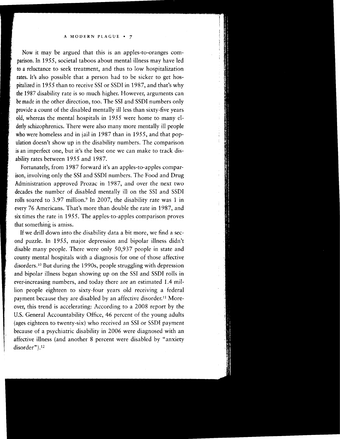Now it may be argued that this is an apples-to-oranges comparison. In 1955, societal taboos about mental illness may have led to a reluctance to seek treatment, and thus to low hospitalization rates. It's also possible that a person had to be sicker to get hospitalized in 1955 than to receive SSI or SSDI in 1987, and that's why the 1987 disability rate is so much higher. However, arguments can be made in the other direction, too. The SSI and SSDI numbers only provide a count of the disabled mentally ill less than sixty-five years old, whereas the mental hospitals in 1955 were home to many elderly schizophrenics. There were also many more mentally ill people who were homeless and in jail in 1987 than in 1955, and that population doesn't show up in the disability numbers. The comparison is an imperfect one, but it's the best one we can make to track disability rates between 1955 and 1987.

Fortunately, from 1987 forward it's an apples-to-apples comparison, involving only the SSI and SSDI numbers. The Food and Drug Administration approved Prozac in 1987, and over the next two decades the number of disabled mentally ill on the SSI and SSDI rolls soared to 3.97 million.<sup>9</sup> In 2007, the disability rate was 1 in every 76 Americans. That's more than double the rate in 1987, and six times the rate in 1955. The apples-to-apples comparison proves that something is amiss.

If we drill down into the disability data a bit more, we find a second puzzle. In 1955, major depression and bipolar illness didn't disable many people. There were only 50,937 people in state and county mental hospitals with a diagnosis for one of those affective disorders.<sup>10</sup> But during the 1990s, people struggling with depression and bipolar illness began showing up on the SSI and SSDI rolls in ever-increasing numbers, and today there are an estimated 1.4 million people eighteen to sixty-four years old receiving a federal payment because they are disabled by an affective disorder.<sup>11</sup> Moreover, this trend is accelerating: According to a 2008 report by the U.S. General Accountability Office, 46 percent of the young adults (ages eighteen to twenty-six) who received an SSI or SSDI payment because of a psychiatric disability in 2006 were diagnosed with an affective illness (and another 8 percent were disabled by "anxiety disorder").<sup>12</sup>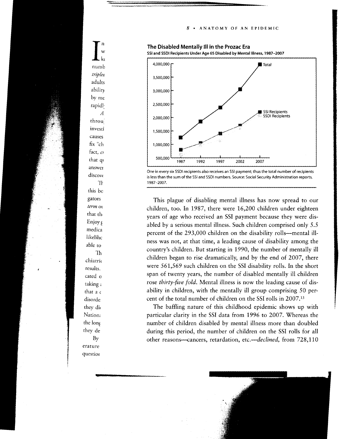

The Disabled Mentally Ill in the Prozac Era SSI and SSDI Recipients Under Age 65 Disabled by Mental Illness, 1987-2007

One in every six SSDI recipients also receives an SSI payment; thus the total number of recipients is less than the sum of the SSI and SSDI numbers. Source: Social Security Administration reports, 1987-2007.

This plague of disabling mental illness has now spread to our children, too. In 1987, there were 16,200 children under eighteen years of age who received an SSI payment because they were disabled by a serious mental illness. Such children comprised only 5.5 percent of the 293,000 children on the disability rolls—mental illness was not, at that time, a leading cause of disability among the country's children. But starting in 1990, the number of mentally ill children began to rise dramatically, and by the end of 2007, there were 561,569 such children on the SSI disability rolls. In the short span of twenty years, the number of disabled mentally ill children rose thirty-five fold. Mental illness is now the leading cause of disability in children, with the mentally ill group comprising 50 percent of the total number of children on the SSI rolls in 2007.<sup>13</sup>

The baffling nature of this childhood epidemic shows up with particular clarity in the SSI data from 1996 to 2007. Whereas the number of children disabled by mental illness more than doubled during this period, the number of children on the SSI rolls for all other reasons-cancers, retardation, etc.--declined, from 728,110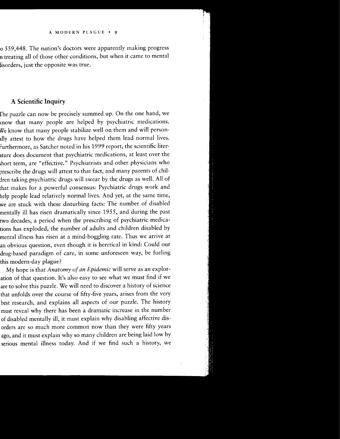o 559,448. The nation's doctors were apparently making progress n treating all of those other conditions, but when it came to mental lisorders, just the oppositewas true.

## A Scientific Inquiry

The puzzle can now be precisely summed up. On the one hand, we <now that many people are helped by psychiatric medications. We know that many people stabilize well on them and will personally attest to how the drugs have helped them lead normal lives. Furthermore, as Satcher noted in his 1999 report, the scientific literature does document that psychiatric medications, at least over the short term, are "effective." Psychiatrists and other physicians who prescribe the drugs will attest to that fact, and many parents of children taking psychiatric drugs will swear by the drugs as well. All of that makes for a powerful consensus: Psychiatric drugs work and help people lead relatively normal lives. And yet, at the same time, we are stuck with these disturbing facts: The number of disabled mentally ill has risen dramatically since 1955, and during the past two decades, a period when the prescribing of psychiatric medications has exploded, the number of adults and children disabled by mental illness has risen at a mind-boggling rate. Thus we arrive at an obvious question, even though it is heretical in kind: Could our drug-based paradigm of care, in some unforeseen way, be fueling this modern-day plague?

My hope is that Anatomy of an Epidemic will serve as an exploration of that question. It's also easy to see what we must find if we are to solve this puzzle. We will need to discover a history of science that unfolds over the course of fifty-five years, arises from the very best research, and explains all aspects of our puzzle. The history must reveal why there has been a dramatic increase in the number of disabled mentally ill, it must explain why disabling affective disorders are so much more common now than they were fifty years ago, and it must explain why so many children are being laid low by serious mental illness today. And if we find such a history, we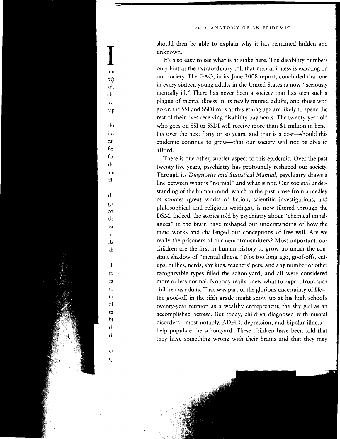should then be able to explain why it has remained hidden and unknown.

It's also easy to see what is at stake here. The disability numbers only hint at the extraordinary toll that mental illness is exacting on our society. The GAO, in its June 2008 report, concluded that one in every sixteen young adults in the United States is now "seriously mentally ill." There has never been a society that has seen such a plague of mental illnessin its newly minted adults, and thosewho go on the SSI and SSDI rolls at this young age are likely to spend the rest of their lives receiving disability payments. The twenty-year-old who goes on SSI or SSDI will receive more than \$1 million in benefits over the next forty or so years, and that is a cost-should this epidemic continue to grow-that our society will not be able to afford.

There is one other, subtler aspect to this epidemic. Over the past twenty-five years, psychiatry has profoundly reshaped our society. Through its Diagnostic and Statistical Manual, psychiatry draws a line between what is "normal" and what is not. Our societal understanding of the human mind, which in the past arose from a medley of sources (great works of fiction, scientific investigations, and philosophical and religious writings), is now filtered through the DSM. Indeed, the stories told by psychiatry about "chemical imbalances" in the brain have reshaped our understanding of how the mind works and challenged our conceptions of free will. Are we really the prisoners of our neurotransmitters? Most important, our children are the first in human history to grow up under the constant shadow of "mental illness." Not too long ago, goof-offs, cutups, bullies, nerds, shy kids, teachers' pets, and any number of other recognizable types filled the schoolyard, and all were considered more or less normal. Nobody really knew what to expect from such children as adults. That was part of the glorious uncertainty of lifethe goof-off in the fifth grade might show up at his high school's twenty-year reunion as a wealthy entrepreneur, the shy girl as an accomplished actress. But today, children diagnosed with mental disorders-most notably, ADHD, depression, and bipolar illnesshelp populate the schoolyard. These children have been told that they have something wrong with their brains and that they may